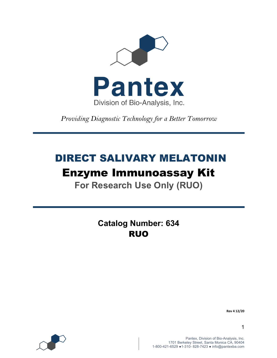

*Providing Diagnostic Technology for a Better Tomorrow* 

# DIRECT SALIVARY MELATONIN

# Enzyme Immunoassay Kit

**For Research Use Only (RUO)**

**Catalog Number: 634** RUO



**Rev 4 12/20**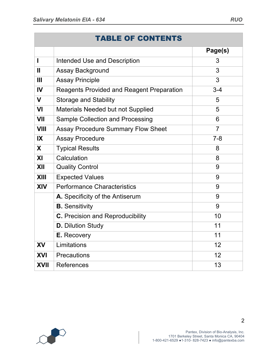|                          | <b>TABLE OF CONTENTS</b>                         |         |
|--------------------------|--------------------------------------------------|---------|
|                          |                                                  | Page(s) |
| ľ                        | <b>Intended Use and Description</b>              | 3       |
| $\overline{\mathsf{II}}$ | <b>Assay Background</b>                          | 3       |
| Ш                        | <b>Assay Principle</b>                           | 3       |
| IV                       | <b>Reagents Provided and Reagent Preparation</b> | $3 - 4$ |
| V                        | <b>Storage and Stability</b>                     | 5       |
| VI                       | Materials Needed but not Supplied                | 5       |
| VII                      | Sample Collection and Processing                 | 6       |
| VIII                     | <b>Assay Procedure Summary Flow Sheet</b>        | 7       |
| IX                       | <b>Assay Procedure</b>                           | $7 - 8$ |
| X                        | <b>Typical Results</b>                           | 8       |
| ΧI                       | Calculation                                      | 8       |
| XII                      | <b>Quality Control</b>                           | 9       |
| XIII                     | <b>Expected Values</b>                           | 9       |
| XIV                      | <b>Performance Characteristics</b>               | 9       |
|                          | A. Specificity of the Antiserum                  | 9       |
|                          | <b>B.</b> Sensitivity                            | 9       |
|                          | C. Precision and Reproducibility                 | 10      |
|                          | <b>D.</b> Dilution Study                         | 11      |
|                          | <b>E.</b> Recovery                               | 11      |

**XV** Limitations 12

**XVI** Precautions 12





2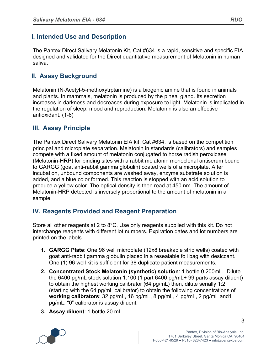## **I. Intended Use and Description**

The Pantex Direct Salivary Melatonin Kit, Cat #634 is a rapid, sensitive and specific EIA designed and validated for the Direct quantitative measurement of Melatonin in human saliva.

## **II. Assay Background**

Melatonin (N-Acetyl-5-methoxytrptamine) is a biogenic amine that is found in animals and plants. In mammals, melatonin is produced by the pineal gland. Its secretion increases in darkness and decreases during exposure to light. Melatonin is implicated in the regulation of sleep, mood and reproduction. Melatonin is also an effective antioxidant. (1-6)

## **III. Assay Principle**

The Pantex Direct Salivary Melatonin EIA kit, Cat #634, is based on the competition principal and microplate separation. Melatonin in standards (calibrators) and samples compete with a fixed amount of melatonin conjugated to horse radish peroxidase (Melatonin-HRP) for binding sites with a rabbit melatonin monoclonal antiserum bound to GARGG (goat anti-rabbit gamma globulin) coated wells of a microplate. After incubation, unbound components are washed away, enzyme substrate solution is added, and a blue color formed. This reaction is stopped with an acid solution to produce a yellow color. The optical density is then read at 450 nm. The amount of Melatonin-HRP detected is inversely proportional to the amount of melatonin in a sample.

## **IV. Reagents Provided and Reagent Preparation**

Store all other reagents at 2 to 8°C. Use only reagents supplied with this kit. Do not interchange reagents with different lot numbers. Expiration dates and lot numbers are printed on the labels.

- **1. GARGG Plate**: One 96 well microplate (12x8 breakable strip wells) coated with goat anti-rabbit gamma globulin placed in a resealable foil bag with desiccant. One (1) 96 well kit is sufficient for 38 duplicate patient measurements.
- **2. Concentrated Stock Melatonin (synthetic) solution**: 1 bottle 0.200mL. Dilute the 6400 pg/mL stock solution 1:100 (1 part 6400 pg/mL+ 99 parts assay diluent) to obtain the highest working calibrator (64 pg/mL) then, dilute serially 1:2 (starting with the 64 pg/mL calibrator) to obtain the following concentrations of **working calibrators**: 32 pg/mL, 16 pg/mL, 8 pg/mL, 4 pg/mL, 2 pg/mL and1 pg/mL. "0" calibrator is assay diluent.
- **3. Assay diluent**: 1 bottle 20 mL.

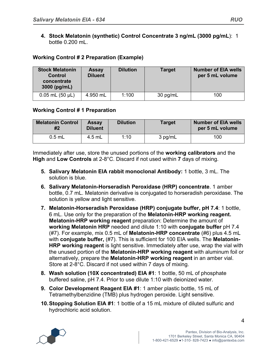**4. Stock Melatonin (synthetic) Control Concentrate 3 ng/mL (3000 pg/mL**): 1 bottle 0.200 mL.

#### **Working Control # 2 Preparation (Example)**

| <b>Stock Melatonin</b><br><b>Control</b><br>concentrate<br>$3000$ (pg/mL) | <b>Assay</b><br><b>Diluent</b> | <b>Dilution</b> | <b>Target</b> | <b>Number of EIA wells</b><br>per 5 mL volume |
|---------------------------------------------------------------------------|--------------------------------|-----------------|---------------|-----------------------------------------------|
| $0.05$ mL $(50 \mu L)$                                                    | 4.950 mL                       | 1:100           | 30 pg/mL      | 100                                           |

#### **Working Control # 1 Preparation**

| <b>Melatonin Control</b><br>#2 | <b>Assay</b><br><b>Diluent</b> | <b>Dilution</b> | <b>Target</b> | <b>Number of EIA wells</b><br>per 5 mL volume |
|--------------------------------|--------------------------------|-----------------|---------------|-----------------------------------------------|
| $0.5$ mL                       | 4.5 mL                         | 1:10            | 3 pg/mL       | 100                                           |

Immediately after use, store the unused portions of the **working calibrators** and the **High** and **Low Controls** at 2-8°C. Discard if not used within **7** days of mixing.

- **5. Salivary Melatonin EIA rabbit monoclonal Antibody:** 1 bottle, 3 mL. The solution is blue.
- **6. Salivary Melatonin-Horseradish Peroxidase (HRP) concentrate**. 1 amber bottle, 0.7 mL. Melatonin derivative is conjugated to horseradish peroxidase. The solution is yellow and light sensitive.
- **7. Melatonin-Horseradish Peroxidase (HRP) conjugate buffer, pH 7.4**: 1 bottle, 6 mL. Use only for the preparation of the **Melatonin-HRP working reagent. Melatonin-HRP working reagent** preparation: Determine the amount of **working Melatonin HRP** needed and dilute 1:10 with **conjugate buffer** pH 7.4 (#7). For example, mix 0.5 mL of **Melatonin-HRP concentrate** (#6) plus 4.5 mL with **conjugate buffer,** (#7). This is sufficient for 100 EIA wells. The **Melatonin-HRP working reagent** is light sensitive. Immediately after use, wrap the vial with the unused portion of the **Melatonin-HRP working reagent** with aluminum foil or alternatively, prepare the **Melatonin-HRP working reagent** in an amber vial. Store at 2-8°C. Discard if not used within 7 days of mixing.
- **8. Wash solution (10X concentrated) EIA #1**: 1 bottle, 50 mL of phosphate buffered saline, pH 7.4. Prior to use dilute 1:10 with deionized water.
- **9. Color Development Reagent EIA #1**: 1 amber plastic bottle, 15 mL of Tetramethylbenzidine (TMB) plus hydrogen peroxide. Light sensitive.
- **10.Stopping Solution EIA #1**: 1 bottle of a 15 mL mixture of diluted sulfuric and hydrochloric acid solution.

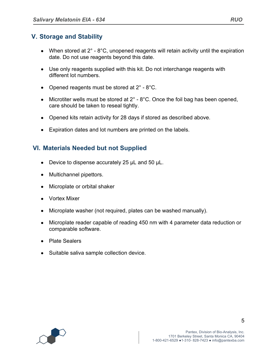## **V. Storage and Stability**

- When stored at  $2^\circ$   $8^\circ$ C, unopened reagents will retain activity until the expiration date. Do not use reagents beyond this date.
- Use only reagents supplied with this kit. Do not interchange reagents with different lot numbers.
- Opened reagents must be stored at 2° 8°C.
- Microtiter wells must be stored at  $2^\circ$   $8^\circ$ C. Once the foil bag has been opened, care should be taken to reseal tightly.
- Opened kits retain activity for 28 days if stored as described above.
- Expiration dates and lot numbers are printed on the labels.

#### **VI. Materials Needed but not Supplied**

- Device to dispense accurately 25 µL and 50 µL.
- Multichannel pipettors.
- Microplate or orbital shaker
- Vortex Mixer
- Microplate washer (not required, plates can be washed manually).
- Microplate reader capable of reading 450 nm with 4 parameter data reduction or comparable software.
- Plate Sealers
- Suitable saliva sample collection device.

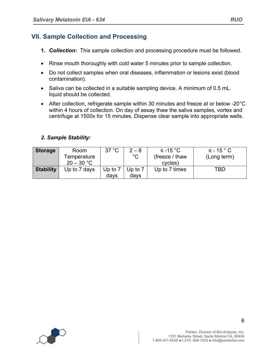## **VII. Sample Collection and Processing**

- **1.** *Collection:* This sample collection and processing procedure must be followed.
- Rinse mouth thoroughly with cold water 5 minutes prior to sample collection.
- Do not collect samples when oral diseases, inflammation or lesions exist (blood contamination).
- Saliva can be collected in a suitable sampling device. A minimum of 0.5 mL. liquid should be collected.
- After collection, refrigerate sample within 30 minutes and freeze at or below -20°C within 4 hours of collection. On day of assay thaw the saliva samples, vortex and centrifuge at 1500x for 15 minutes. Dispense clear sample into appropriate wells.

#### *2. Sample Stability:*

| <b>Storage</b>   | Room<br>Temperature<br>$20 - 30 °C$ | 37 °C           | $2 - 8$<br>$^{\circ}C$ | $≤ -15 °C$<br>(freeze / thaw)<br>cycles) | $\leq$ - 15 ° C<br>(Long term) |
|------------------|-------------------------------------|-----------------|------------------------|------------------------------------------|--------------------------------|
| <b>Stability</b> | Up to 7 days                        | Up to 7<br>days | Up to $7$<br>davs      | Up to 7 times                            | TBD                            |

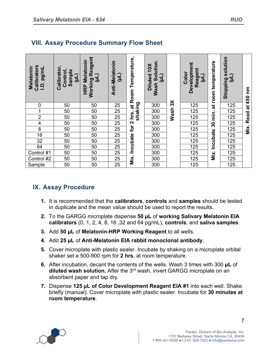| Calibrators<br>pg/mL<br><b>Melatonin</b><br>$\dot{q}$ | Calibrator<br>Control,<br>Sample<br>빌 | Reagent<br>Melatonin<br>Working R<br>(µL)<br><b>HRP</b> | Anti-Melatonin<br>$\overline{H}$ | Temperature,<br>Room       | Wash Solution.<br>10X<br>(Ln)<br><b>Diluted</b> |             | Development<br>Reagent<br>Color<br>नि | at room temperature | solution<br>(TR)<br><b>Stopping</b> | ξ<br>450  |
|-------------------------------------------------------|---------------------------------------|---------------------------------------------------------|----------------------------------|----------------------------|-------------------------------------------------|-------------|---------------------------------------|---------------------|-------------------------------------|-----------|
| $\boldsymbol{0}$                                      | 50                                    | 50                                                      | 25                               | shaking.<br>$\overline{a}$ | 300                                             | 3X          | 125                                   |                     | 125                                 | $\vec{a}$ |
| 1                                                     | 50                                    | 50                                                      | 25                               |                            | 300                                             | <b>Wash</b> | 125                                   |                     | 125                                 |           |
| $\overline{2}$                                        | 50                                    | 50                                                      | 25                               | hrs.                       | 300                                             |             | 125                                   | min.                | 125                                 | Read      |
| 4                                                     | 50                                    | 50                                                      | 25                               | $\mathbf{\Omega}$          | 300                                             |             | 125                                   | 30                  | 125                                 |           |
| 8                                                     | 50                                    | 50                                                      | 25                               | for                        | 300                                             |             | 125                                   |                     | 125                                 | Mix.      |
| $\overline{16}$                                       | 50                                    | 50                                                      | 25                               |                            | 300                                             |             | 125                                   |                     | 125                                 |           |
| 32                                                    | 50                                    | 50                                                      | 25                               | Incubate                   | 300                                             |             | 125                                   | Incubate            | 125                                 |           |
| 64                                                    | 50                                    | 50                                                      | 25                               |                            | 300                                             |             | 125                                   |                     | 125                                 |           |
| Control #1                                            | 50                                    | 50                                                      | 25                               |                            | 300                                             |             | 125                                   | Mix.                | 125                                 |           |
| Control $#2$                                          | 50                                    | 50                                                      | 25                               | Mix.                       | 300                                             |             | 125                                   |                     | 125                                 |           |
| Sample                                                | 50                                    | 50                                                      | 25                               |                            | 300                                             |             | 125                                   |                     | 125                                 |           |

# **VIII. Assay Procedure Summary Flow Sheet**

## **IX. Assay Procedure**

- **1.** It is recommended that the **calibrators**, **controls** and **samples** should be tested in duplicate and the mean value should be used to report the results.
- **2.** To the GARGG microplate dispense **50 µL** of **working Salivary Melatonin EIA calibrators** (0, 1, 2, 4, 8, 16 ,32 and 64 pg/mL), **controls**, and **saliva samples**.
- **3.** Add **50 µL** of **Melatonin-HRP Working Reagent** to all wells.
- **4.** Add **25 µL** of **Anti-Melatonin EIA rabbit monoclonal antibody**.
- **5.** Cover microplate with plastic sealer. Incubate by shaking on a microplate orbital shaker set a 500-900 rpm for **2 hrs.** at room temperature.
- **6.** After incubation, decant the contents of the wells. Wash 3 times with 300 **µL** of **diluted wash solution.** After the 3rd wash, invert GARGG microplate on an absorbent paper and tap dry.
- **7.** Dispense **125 µL of Color Development Reagent EIA #1** into each well. Shake briefly (manual). Cover microplate with plastic sealer. Incubate for **30 minutes at room temperature**.

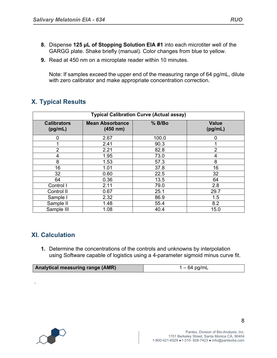- **8.** Dispense **125 µL of Stopping Solution EIA #1** into each microtiter well of the GARGG plate. Shake briefly (manual). Color changes from blue to yellow.
- **9.** Read at 450 nm on a microplate reader within 10 minutes.

Note: If samples exceed the upper end of the measuring range of 64 pg/mL, dilute with zero calibrator and make appropriate concentration correction.

## **X. Typical Results**

| <b>Typical Calibration Curve (Actual assay)</b> |                                    |        |                         |  |  |  |
|-------------------------------------------------|------------------------------------|--------|-------------------------|--|--|--|
| <b>Calibrators</b><br>(pg/mL)                   | <b>Mean Absorbance</b><br>(450 nm) | % B/Bo | <b>Value</b><br>(pg/mL) |  |  |  |
| 0                                               | 2.67                               | 100.0  | 0                       |  |  |  |
|                                                 | 2.41                               | 90.3   |                         |  |  |  |
| $\overline{2}$                                  | 2.21                               | 82.8   | $\overline{2}$          |  |  |  |
| 4                                               | 1.95                               | 73.0   | 4                       |  |  |  |
| 8                                               | 1.53                               | 57.3   | 8                       |  |  |  |
| 16                                              | 1.01                               | 37.8   | 16                      |  |  |  |
| 32                                              | 0.60                               | 22.5   | 32                      |  |  |  |
| 64                                              | 0.36                               | 13.5   | 64                      |  |  |  |
| Control I                                       | 2.11                               | 79.0   | 2.8                     |  |  |  |
| Control II                                      | 0.67                               | 25.1   | 29.7                    |  |  |  |
| Sample I                                        | 2.32                               | 86.9   | 1.5                     |  |  |  |
| Sample II                                       | 1.48                               | 55.4   | 8.2                     |  |  |  |
| Sample III                                      | 1.08                               | 40.4   | 15.0                    |  |  |  |

## **XI. Calculation**

**1.** Determine the concentrations of the controls and unknowns by interpolation using Software capable of logistics using a 4-parameter sigmoid minus curve fit.

| <b>Analytical measuring range (AMR)</b> | 1 – 64 pg/mL |
|-----------------------------------------|--------------|



.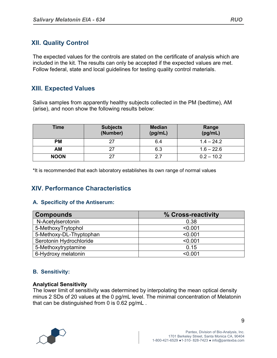# **XII. Quality Control**

The expected values for the controls are stated on the certificate of analysis which are included in the kit. The results can only be accepted if the expected values are met. Follow federal, state and local guidelines for testing quality control materials.

## **XIII. Expected Values**

Saliva samples from apparently healthy subjects collected in the PM (bedtime), AM (arise), and noon show the following results below:

| Time        | <b>Subjects</b><br>(Number) | <b>Median</b><br>(pg/mL) | Range<br>(pg/mL) |
|-------------|-----------------------------|--------------------------|------------------|
| <b>PM</b>   | 27                          | 6.4                      | $1.4 - 24.2$     |
| <b>AM</b>   |                             | 6.3                      | $1.6 - 22.6$     |
| <b>NOON</b> | 27                          | 2.7                      | $0.2 - 10.2$     |

\*It is recommended that each laboratory establishes its own range of normal values

# **XIV. Performance Characteristics**

#### **A. Specificity of the Antiserum:**

| <b>Compounds</b>        | % Cross-reactivity |
|-------------------------|--------------------|
| N-Acetylserotonin       | 0.38               |
| 5-MethoxyTrytophol      | < 0.001            |
| 5-Methoxy-DL-Thyptophan | < 0.001            |
| Serotonin Hydrochloride | < 0.001            |
| 5-Methoxytryptamine     | 0.15               |
| 6-Hydroxy melatonin     | < 0.001            |

#### **B. Sensitivity:**

#### **Analytical Sensitivity**

The lower limit of sensitivity was determined by interpolating the mean optical density minus 2 SDs of 20 values at the 0 pg/mL level. The minimal concentration of Melatonin that can be distinguished from 0 is 0.62 pg/mL .



9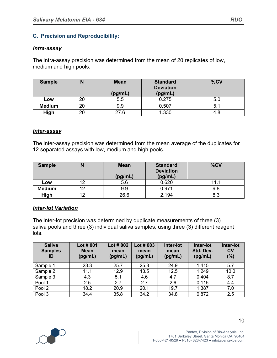#### **C. Precision and Reproducibility:**

#### *Intra-assay*

The intra-assay precision was determined from the mean of 20 replicates of low, medium and high pools.

| <b>Sample</b> |    | <b>Mean</b> | <b>Standard</b><br><b>Deviation</b> | %CV |
|---------------|----|-------------|-------------------------------------|-----|
|               |    | (pg/mL)     | (pg/mL)                             |     |
| Low           | 20 | 5.5         | 0.275                               | 5.0 |
| <b>Medium</b> | 20 | 9.9         | 0.507                               | 5.  |
| High          | 20 | 27.6        | 1.330                               | 4.8 |

#### *Inter-assay*

The inter-assay precision was determined from the mean average of the duplicates for 12 separated assays with low, medium and high pools.

| <b>Sample</b> |    | <b>Mean</b><br>(pg/mL) | <b>Standard</b><br><b>Deviation</b><br>(pg/mL) | %CV  |
|---------------|----|------------------------|------------------------------------------------|------|
| Low           | າດ | 5.6                    | 0.620                                          | 11.1 |
| <b>Medium</b> | イウ | 9.9                    | 0.971                                          | 9.8  |
| High          | າດ | 26.6                   | 2.194                                          | 8.3  |

#### *Inter-lot Variation*

The inter-lot precision was determined by duplicate measurements of three (3) saliva pools and three (3) individual saliva samples, using three (3) different reagent lots.

| <b>Saliva</b><br><b>Samples</b><br>ID | Lot # 001<br><b>Mean</b><br>(pg/mL) | Lot # 002<br>mean<br>(pg/mL) | Lot $#003$<br>mean<br>(pg/mL) | Inter-lot<br>mean<br>(pg/mL) | Inter-lot<br>Std. Dev.<br>(pg/mL) | Inter-lot<br>c <sub>v</sub><br>(%) |
|---------------------------------------|-------------------------------------|------------------------------|-------------------------------|------------------------------|-----------------------------------|------------------------------------|
| Sample 1                              | 23.3                                | 25.7                         | 25.8                          | 24.9                         | 1.415                             | 5.7                                |
| Sample 2                              | 11.1                                | 12.9                         | 13.5                          | 12.5                         | 1.249                             | 10.0                               |
| Sample 3                              | 4.3                                 | 5.1                          | 4.6                           | 4.7                          | 0.404                             | 8.7                                |
| Pool 1                                | 2.5                                 | 2.7                          | 2.7                           | 2.6                          | 0.115                             | 4.4                                |
| Pool 2                                | 18.2                                | 20.9                         | 20.1                          | 19.7                         | 1.387                             | 7.0                                |
| Pool 3                                | 34.4                                | 35.8                         | 34.2                          | 34.8                         | 0.872                             | 2.5                                |

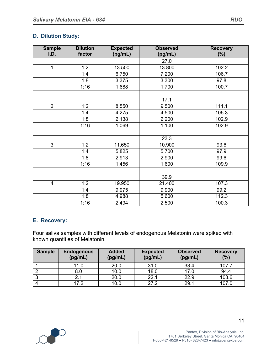#### **D. Dilution Study:**

| <b>Sample</b><br>I.D. | <b>Dilution</b><br>factor | <b>Expected</b><br>(pg/mL) | <b>Observed</b><br>(pg/mL) | <b>Recovery</b><br>(%) |
|-----------------------|---------------------------|----------------------------|----------------------------|------------------------|
|                       |                           |                            | 27.0                       |                        |
| $\mathbf{1}$          | 1:2                       | 13.500                     | 13.800                     | 102.2                  |
|                       | 1:4                       | 6.750                      | 7.200                      | 106.7                  |
|                       | 1:8                       | 3.375                      | 3.300                      | 97.8                   |
|                       | 1:16                      | 1.688                      | 1.700                      | 100.7                  |
|                       |                           |                            |                            |                        |
|                       |                           |                            | 17.1                       |                        |
| 2                     | 1:2                       | 8.550                      | 9.500                      | 111.1                  |
|                       | 1:4                       | 4.275                      | 4.500                      | 105.3                  |
|                       | 1:8                       | 2.138                      | 2.200                      | 102.9                  |
|                       | 1:16                      | 1.069                      | 1.100                      | 102.9                  |
|                       |                           |                            |                            |                        |
|                       |                           |                            | 23.3                       |                        |
| $\overline{3}$        | 1:2                       | 11.650                     | 10.900                     | 93.6                   |
|                       | 1:4                       | 5.825                      | 5.700                      | 97.9                   |
|                       | 1:8                       | 2.913                      | 2.900                      | 99.6                   |
|                       | 1:16                      | 1.456                      | 1.600                      | 109.9                  |
|                       |                           |                            |                            |                        |
|                       |                           |                            | 39.9                       |                        |
| $\overline{4}$        | 1:2                       | 19.950                     | 21.400                     | 107.3                  |
|                       | 1:4                       | 9.975                      | 9.900                      | 99.2                   |
|                       | 1:8                       | 4.988                      | 5.600                      | 112.3                  |
|                       | 1:16                      | 2.494                      | 2.500                      | 100.3                  |

#### **E. Recovery:**

Four saliva samples with different levels of endogenous Melatonin were spiked with known quantities of Melatonin.

| <b>Sample</b> | <b>Endogenous</b><br>(pg/mL) | <b>Added</b><br>(pg/mL) | <b>Expected</b><br>(pg/mL) | <b>Observed</b><br>(pg/mL) | <b>Recovery</b><br>(%) |
|---------------|------------------------------|-------------------------|----------------------------|----------------------------|------------------------|
|               | 11.0                         | 20.0                    | 31.0                       | 33.4                       | 107.7                  |
|               | 8.0                          | 10.0                    | 18.0                       | 17.0                       | 94.4                   |
|               | 2.1                          | 20.0                    | 22.1                       | 22.9                       | 103.6                  |
|               | 17.2                         | 10.0                    | 27.2                       | 29.1                       | 107.0                  |



1701 Berkeley Street, Santa Monica CA, 90404 1-800-421-6529 ●1-310- 828-7423 ● info@pantexba.com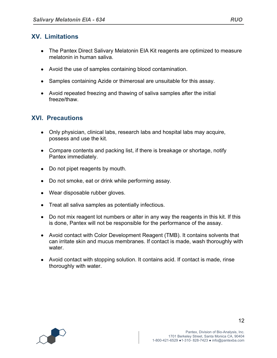## **XV. Limitations**

- The Pantex Direct Salivary Melatonin EIA Kit reagents are optimized to measure melatonin in human saliva.
- Avoid the use of samples containing blood contamination.
- Samples containing Azide or thimerosal are unsuitable for this assay.
- Avoid repeated freezing and thawing of saliva samples after the initial freeze/thaw.

## **XVI. Precautions**

- Only physician, clinical labs, research labs and hospital labs may acquire, possess and use the kit.
- Compare contents and packing list, if there is breakage or shortage, notify Pantex immediately.
- Do not pipet reagents by mouth.
- Do not smoke, eat or drink while performing assay.
- Wear disposable rubber gloves.
- Treat all saliva samples as potentially infectious.
- Do not mix reagent lot numbers or alter in any way the reagents in this kit. If this is done, Pantex will not be responsible for the performance of the assay.
- Avoid contact with Color Development Reagent (TMB). It contains solvents that can irritate skin and mucus membranes. If contact is made, wash thoroughly with water.
- Avoid contact with stopping solution. It contains acid. If contact is made, rinse thoroughly with water.